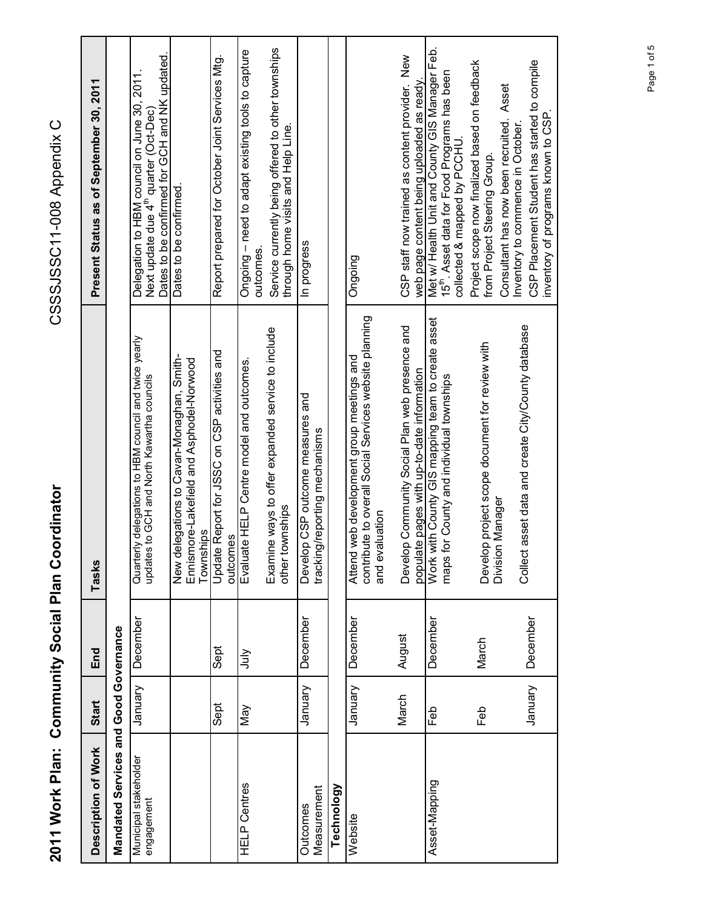| I               |
|-----------------|
| l               |
| ζ<br>Í          |
| CSSS ISSC11-008 |
|                 |
| こつのCCCのCC       |
|                 |
|                 |
|                 |
|                 |
|                 |
|                 |
|                 |
|                 |
| $\frac{1}{2}$   |
|                 |
|                 |
|                 |
|                 |
|                 |
|                 |
|                 |
|                 |

CSSSJSSC11-008 Appendix C

| Description of Work                   | Start    | End      | Tasks                                                                                                                 | Present Status as of September 30, 2011                                                                                                           |
|---------------------------------------|----------|----------|-----------------------------------------------------------------------------------------------------------------------|---------------------------------------------------------------------------------------------------------------------------------------------------|
| Mandated Services and Good Governance |          |          |                                                                                                                       |                                                                                                                                                   |
| Municipal stakeholder<br>engagement   | January  | December | Quarterly delegations to HBM council and twice yearly<br>updates to GCH and North Kawartha councils                   | Dates to be confirmed for GCH and NK updated.<br>Delegation to HBM council on June 30, 2011.<br>Next update due 4 <sup>th</sup> quarter (Oct-Dec) |
|                                       |          |          | New delegations to Cavan-Monaghan, Smith-<br>Ennismore-Lakefield and Asphodel-Norwood<br>Townships                    | Dates to be confirmed.                                                                                                                            |
|                                       | Sept     | Sept     | Update Report for JSSC on CSP activities and<br>outcomes                                                              | Report prepared for October Joint Services Mtg.                                                                                                   |
| <b>HELP Centres</b>                   | Vay      | √lul     | Evaluate HELP Centre model and outcomes.                                                                              | Ongoing - need to adapt existing tools to capture<br>outcomes.                                                                                    |
|                                       |          |          | Examine ways to offer expanded service to include<br>other townships                                                  | Service currently being offered to other townships<br>through home visits and Help Line.                                                          |
| Measurement<br>Outcomes               | Vienuary | December | Develop CSP outcome measures and<br>tracking/reporting mechanisms                                                     | In progress                                                                                                                                       |
| Technology                            |          |          |                                                                                                                       |                                                                                                                                                   |
| Website                               | Vienue   | December | contribute to overall Social Services website planning<br>Attend web development group meetings and<br>and evaluation | Ongoing                                                                                                                                           |
|                                       | March    | August   | Develop Community Social Plan web presence and<br>populate pages with up-to-date information                          | CSP staff now trained as content provider. New<br>web page content being uploaded as ready.                                                       |
| Asset-Mapping                         | Feb      | December | Work with County GIS mapping team to create asset<br>maps for County and individual townships                         | Met w/ Health Unit and County GIS Manager Feb.<br>15 <sup>th</sup> . Asset data for Food Programs has been<br>collected & mapped by PCCHU         |
|                                       | Feb      | March    | project scope document for review with<br>Manager<br>Develop<br>Division                                              | Project scope now finalized based on feedback<br>Consultant has now been recruited. Asset<br>from Project Steering Group.                         |
|                                       | January  | December | asset data and create City/County database<br>Collect                                                                 | CSP Placement Student has started to compile<br>inventory of programs known to CSP.<br>Inventory to commence in October                           |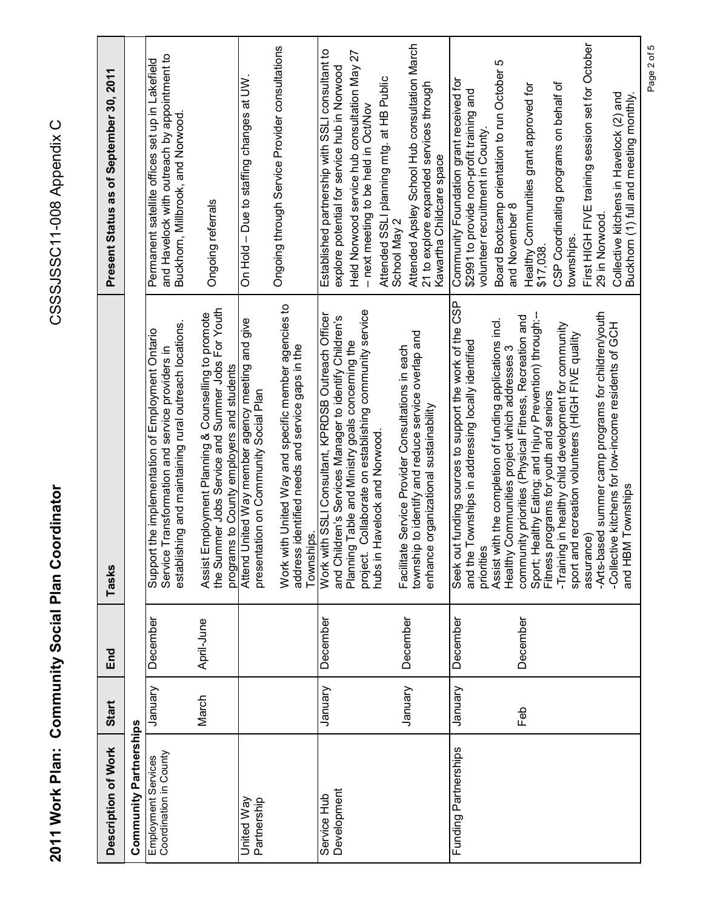**2011 Work Plan: Community Social Plan Coordinator** CSSSJSSC11-008 Appendix C 2011 Work Plan: Community Social Plan Coordinator

CSSSJSSC11-008 Appendix C

| Description of Work                           | Start    | End        | Tasks                                                                                                                                                                        | Present Status as of September 30, 2011                                                                                                         |
|-----------------------------------------------|----------|------------|------------------------------------------------------------------------------------------------------------------------------------------------------------------------------|-------------------------------------------------------------------------------------------------------------------------------------------------|
| <b>Community Partnerships</b>                 |          |            |                                                                                                                                                                              |                                                                                                                                                 |
| Coordination in County<br>Employment Services | Vienuary | December   | establishing and maintaining rural outreach locations.<br>the implementation of Employment Ontario<br>Service Transformation and service providers in<br>Support             | and Havelock with outreach by appointment to<br>Permanent satellite offices set up in Lakefield<br>Buckhorn, Millbrook, and Norwood             |
|                                               | March    | April-June | the Summer Jobs Service and Summer Jobs For Youth<br>Assist Employment Planning & Counselling to promote<br>programs to County employers and students                        | Ongoing referrals                                                                                                                               |
| United Way<br>Partnership                     |          |            | Attend United Way member agency meeting and give<br>presentation on Community Social Plan                                                                                    | On Hold - Due to staffing changes at UW                                                                                                         |
|                                               |          |            | Work with United Way and specific member agencies to<br>address identified needs and service gaps in the<br>Townships.                                                       | Ongoing through Service Provider consultations                                                                                                  |
| Development<br>Service Hub                    | Vienuary | December   | Work with SSLI Consultant, KPRDSB Outreach Officer<br>and Children's Services Manager to identify Children's<br>Planning Table and Ministry goals concerning the<br>project. | Established partnership with SSLI consultant to<br>Held Norwood service hub consultation May 27<br>explore potential for service hub in Norwood |
|                                               |          |            | Collaborate on establishing community service<br>hubs in Havelock and Norwood                                                                                                | Attended SSLI planning mtg. at HB Public<br>- next meeting to be held in Oct/Nov                                                                |
|                                               | January  | December   | to identify and reduce service overlap and<br>Service Provider Consultations in each<br>organizational sustainability<br>Facilitate<br>township<br>enhance                   | Attended Apsley School Hub consultation March<br>21 to explore expanded services through<br>Kawartha Childcare space<br>School May 2            |
| Funding Partnerships                          | January  | December   | Seek out funding sources to support the work of the CSP<br>and the Townships in addressing locally identified<br>priorities                                                  | Community Foundation grant received for<br>\$2991 to provide non-profit training and<br>volunteer recruitment in County                         |
|                                               |          |            | Assist with the completion of funding applications incl.<br>Healthy Communities project which addresses 3                                                                    | Board Bootcamp orientation to run October 5<br>and November 8                                                                                   |
|                                               | Feb      | December   | Sport; Healthy Eating; and Injury Prevention) through:--<br>community priorities (Physical Fitness, Recreation and<br>Fitness programs for youth and seniors                 | Healthy Communities grant approved for<br>\$17,038                                                                                              |
|                                               |          |            | in healthy child development for community<br>sport and recreation volunteers (HIGH FIVE quality<br>-Training                                                                | CSP Coordinating programs on behalf of<br>townships.                                                                                            |
|                                               |          |            | -Arts-based summer camp programs for children/youth<br>assurance)                                                                                                            | First HIGH FIVE training session set for October<br>29 in Norwood.                                                                              |
|                                               |          |            | -Collective kitchens for low-income residents of GCH<br>and HBM Townships                                                                                                    | Collective kitchens in Havelock (2) and<br>Buckhorn (1) full and meeting monthly.                                                               |

Page 2 of 5 Page 2 of 5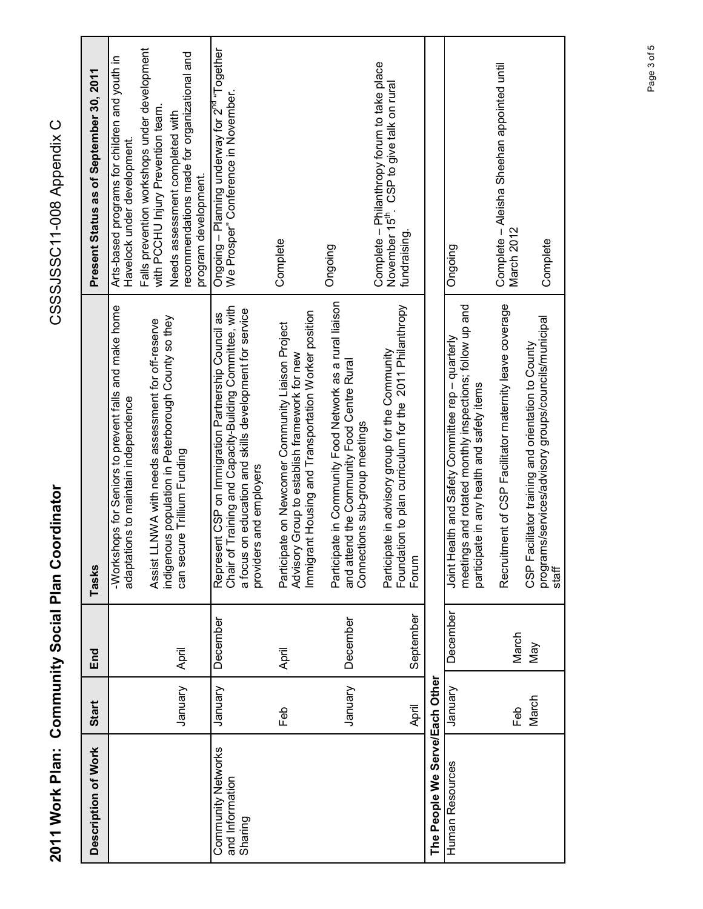| Description of Work                              | Start   | End       | Tasks                                                                                                                                                                                                | Present Status as of September 30, 2011                                                                              |
|--------------------------------------------------|---------|-----------|------------------------------------------------------------------------------------------------------------------------------------------------------------------------------------------------------|----------------------------------------------------------------------------------------------------------------------|
|                                                  |         |           | -Workshops for Seniors to prevent falls and make home<br>adaptations to maintain independence                                                                                                        | Arts-based programs for children and youth in<br>Havelock under development                                          |
|                                                  |         |           | LLNWA with needs assessment for off-reserve<br>Assist                                                                                                                                                | Falls prevention workshops under development<br>with PCCHU Injury Prevention team.                                   |
|                                                  | January | April     | indigenous population in Peterborough County so they<br>can secure Trillium Funding                                                                                                                  | recommendations made for organizational and<br>Needs assessment completed with<br>program development.               |
| Community Networks<br>and Information<br>Sharing | January | December  | Chair of Training and Capacity-Building Committee, with<br>a focus on education and skills development for service<br>Represent CSP on Immigration Partnership Council as<br>providers and employers | Ongoing – Planning underway for 2 <sup>nd</sup> "Together<br>We Prosper" Conference in November.                     |
|                                                  | Feb     | April     | Immigrant Housing and Transportation Worker position<br>Participate on Newcomer Community Liaison Project<br>Advisory Group to establish framework for new                                           | Complete                                                                                                             |
|                                                  | January | December  | Participate in Community Food Network as a rural liaison<br>and attend the Community Food Centre Rural<br>ctions sub-group meetings<br>Conne                                                         | Ongoing                                                                                                              |
|                                                  | April   | September | Foundation to plan curriculum for the 2011 Philanthropy<br>Participate in advisory group for the Community<br>Forum                                                                                  | Complete - Philanthropy forum to take place<br>November 15 <sup>th</sup> . CSP to give talk on rural<br>fundraising. |
| The People We Serve/Each Other                   |         |           |                                                                                                                                                                                                      |                                                                                                                      |
| Human Resources                                  | Vienuar | December  | meetings and rotated monthly inspections; follow up and<br>Joint Health and Safety Committee rep - quarterly<br>participate in any health and safety items                                           | Ongoing                                                                                                              |
|                                                  | Feb     | March     | Recruitment of CSP Facilitator maternity leave coverage                                                                                                                                              | Complete - Aleisha Sheehan appointed until<br>March 2012                                                             |
|                                                  | March   | Vay       | ims/services/advisory groups/councils/municipal<br>CSP Facilitator training and orientation to County<br>prograi<br>staff                                                                            | Complete                                                                                                             |

CSSSJSSC11-008 Appendix C **2011 Work Plan: Community Social Plan Coordinator** CSSSJSSC11-008 Appendix C

2011 Work Plan: Community Social Plan Coordinator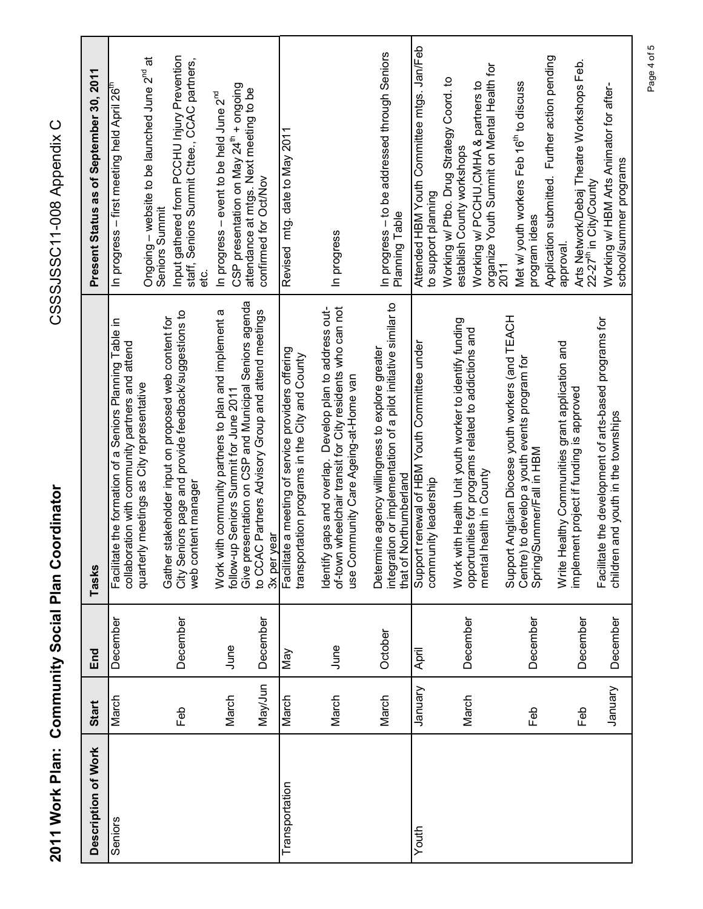| 2011 Work Plan:     |                 |                      | <b>Community Social Plan Coordinator</b>                                                                                                                      | CSSSJSSC11-008 Appenix C                                                                                                                                     |
|---------------------|-----------------|----------------------|---------------------------------------------------------------------------------------------------------------------------------------------------------------|--------------------------------------------------------------------------------------------------------------------------------------------------------------|
| Description of Work | Start           | End                  | Tasks                                                                                                                                                         | Present Status as of September 30, 2011                                                                                                                      |
| Seniors             | March           | December             | Facilitate the formation of a Seniors Planning Table in<br>collaboration with community partners and attend                                                   | In progress – first meeting held April 26                                                                                                                    |
|                     |                 |                      | stakeholder input on proposed web content for<br>quarterly meetings as City representative<br>Gather                                                          | Ongoing – website to be launched June 2 <sup>nd</sup> at<br>Seniors Summit                                                                                   |
|                     | Feb             | December             | City Seniors page and provide feedback/suggestions to<br>web content manager                                                                                  | Input gathered from PCCHU Injury Prevention<br>staff, Seniors Summit Cttee., CCAC partners,<br>etc.<br>e                                                     |
|                     | March           | June                 | Work with community partners to plan and implement a<br>follow-up Seniors Summit for June 2011                                                                | CSP presentation on May 24 <sup>th</sup> + ongoing<br>In progress – event to be held June 2 <sup>nd</sup>                                                    |
|                     | May/Jun         | December             | Give presentation on CSP and Municipal Seniors agenda<br>to CCAC Partners Advisory Group and attend meetings<br>3x per year                                   | attendance at mtgs. Next meeting to be<br>confirmed for Oct/Nov                                                                                              |
| Transportation      | March           | Nay                  | Facilitate a meeting of service providers offering<br>transportation programs in the City and County                                                          | Revised mtg. date to May 2011                                                                                                                                |
|                     | March           | June                 | of-town wheelchair transit for City residents who can not<br>Identify gaps and overlap. Develop plan to address out-<br>use Community Care Ageing-at-Home van | In progress                                                                                                                                                  |
|                     | March           | October              | integration or implementation of a pilot initiative similar to<br>Determine agency willingness to explore greater<br>that of Northumberland                   | In progress - to be addressed through Seniors<br>Planning Table                                                                                              |
| Youth               | January         | April                | Support renewal of HBM Youth Committee under<br>community leadership                                                                                          | Attended HBM Youth Committee mtgs. Jan/Feb<br>to support planning                                                                                            |
|                     | March           | December             | Work with Health Unit youth worker to identify funding<br>opportunities for programs related to addictions and<br>health in County<br>mental                  | organize Youth Summit on Mental Health for<br>Working w/ Ptbo. Drug Strategy Coord. to<br>Working w/ PCCHU, CMHA & partners to<br>establish County workshops |
|                     | Feb             | December             | Support Anglican Diocese youth workers (and TEACH<br>Centre) to develop a youth events program for<br>Spring/Summer/Fall in HBM                               | Met w/ youth workers Feb 16 <sup>th</sup> to discuss<br>program ideas<br>2011                                                                                |
|                     |                 |                      | Write Healthy Communities grant application and<br>implement project if funding is approved                                                                   | Application submitted. Further action pending<br>Arts Network/Debaj Theatre Workshops Feb.<br>approval.                                                      |
|                     | Vienuary<br>Feb | December<br>December | Facilitate the development of arts-based programs for<br>children and youth in the townships                                                                  | Working w/ HBM Arts Animator for after-<br>school/summer programs<br>22-27 <sup>th</sup> in City/County                                                      |

Page 4 of 5 Page 4 of 5